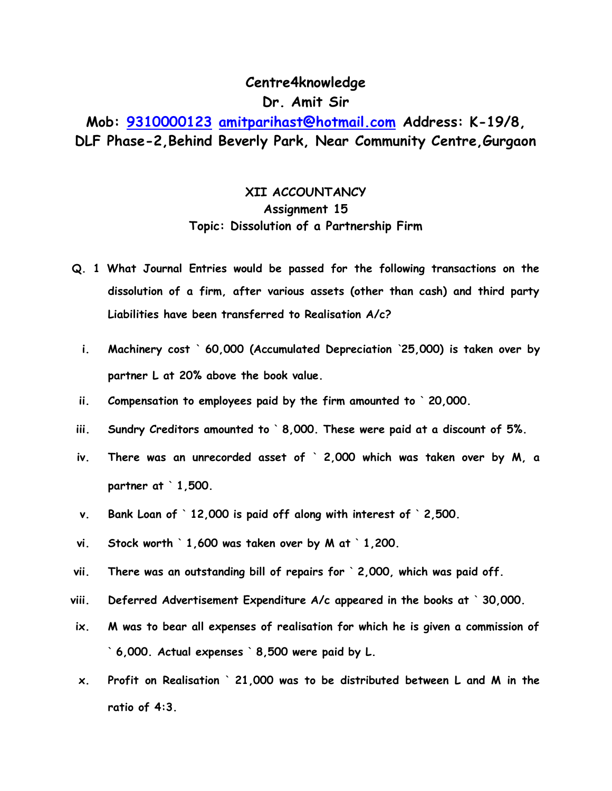## **Centre4knowledge Dr. Amit Sir**

## **Mob: [9310000123](tel:9310000123) [amitparihast@hotmail.com](mailto:amitparihast@hotmail.com) Address: K-19/8, DLF Phase-2,Behind Beverly Park, Near Community Centre,Gurgaon**

## **XII ACCOUNTANCY Assignment 15 Topic: Dissolution of a Partnership Firm**

- **Q. 1 What Journal Entries would be passed for the following transactions on the dissolution of a firm, after various assets (other than cash) and third party Liabilities have been transferred to Realisation A/c?**
	- **i. Machinery cost ` 60,000 (Accumulated Depreciation `25,000) is taken over by partner L at 20% above the book value.**
- **ii. Compensation to employees paid by the firm amounted to ` 20,000.**
- **iii. Sundry Creditors amounted to ` 8,000. These were paid at a discount of 5%.**
- **iv. There was an unrecorded asset of ` 2,000 which was taken over by M, a partner at ` 1,500.**
- **v. Bank Loan of ` 12,000 is paid off along with interest of ` 2,500.**
- **vi. Stock worth ` 1,600 was taken over by M at ` 1,200.**
- **vii. There was an outstanding bill of repairs for ` 2,000, which was paid off.**
- **viii. Deferred Advertisement Expenditure A/c appeared in the books at ` 30,000.**
- **ix. M was to bear all expenses of realisation for which he is given a commission of ` 6,000. Actual expenses ` 8,500 were paid by L.**
- **x. Profit on Realisation ` 21,000 was to be distributed between L and M in the ratio of 4:3.**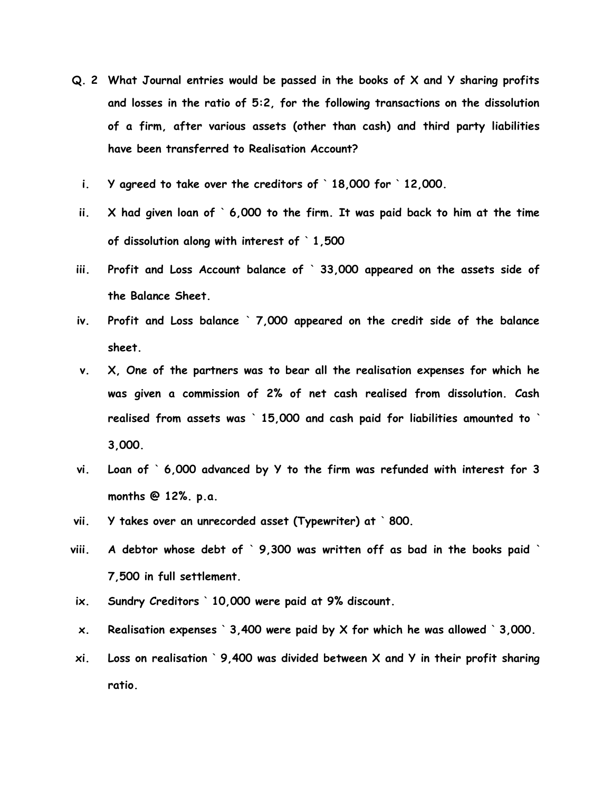- **Q. 2 What Journal entries would be passed in the books of X and Y sharing profits and losses in the ratio of 5:2, for the following transactions on the dissolution of a firm, after various assets (other than cash) and third party liabilities have been transferred to Realisation Account?**
	- **i. Y agreed to take over the creditors of ` 18,000 for ` 12,000.**
	- **ii. X had given loan of ` 6,000 to the firm. It was paid back to him at the time of dissolution along with interest of ` 1,500**
- **iii. Profit and Loss Account balance of ` 33,000 appeared on the assets side of the Balance Sheet.**
- **iv. Profit and Loss balance ` 7,000 appeared on the credit side of the balance sheet.**
- **v. X, One of the partners was to bear all the realisation expenses for which he was given a commission of 2% of net cash realised from dissolution. Cash realised from assets was ` 15,000 and cash paid for liabilities amounted to ` 3,000.**
- **vi. Loan of ` 6,000 advanced by Y to the firm was refunded with interest for 3 months @ 12%. p.a.**
- **vii. Y takes over an unrecorded asset (Typewriter) at ` 800.**
- **viii. A debtor whose debt of ` 9,300 was written off as bad in the books paid ` 7,500 in full settlement.**
- **ix. Sundry Creditors ` 10,000 were paid at 9% discount.**
- **x. Realisation expenses ` 3,400 were paid by X for which he was allowed ` 3,000.**
- **xi. Loss on realisation ` 9,400 was divided between X and Y in their profit sharing ratio.**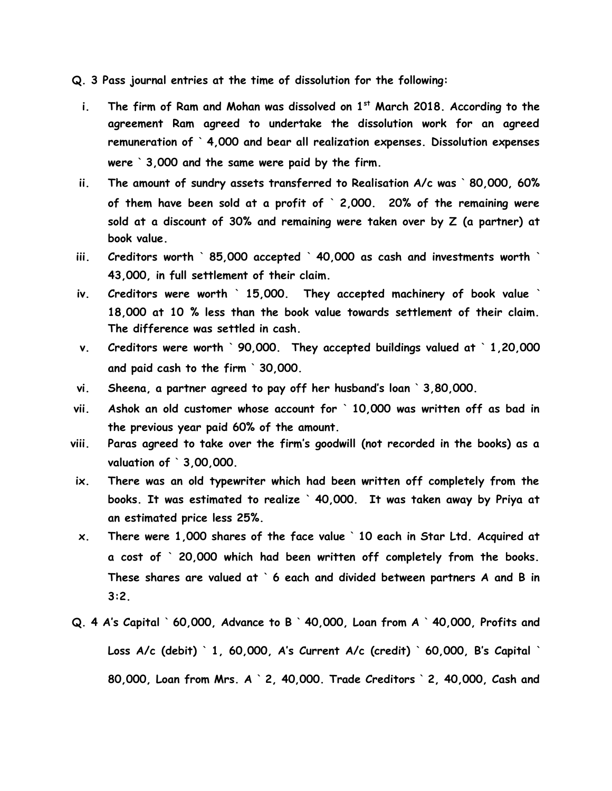**Q. 3 Pass journal entries at the time of dissolution for the following:**

- **i. The firm of Ram and Mohan was dissolved on 1st March 2018. According to the agreement Ram agreed to undertake the dissolution work for an agreed remuneration of ` 4,000 and bear all realization expenses. Dissolution expenses were ` 3,000 and the same were paid by the firm.**
- **ii. The amount of sundry assets transferred to Realisation A/c was ` 80,000, 60% of them have been sold at a profit of ` 2,000. 20% of the remaining were sold at a discount of 30% and remaining were taken over by Z (a partner) at book value.**
- **iii. Creditors worth ` 85,000 accepted ` 40,000 as cash and investments worth ` 43,000, in full settlement of their claim.**
- **iv. Creditors were worth ` 15,000. They accepted machinery of book value ` 18,000 at 10 % less than the book value towards settlement of their claim. The difference was settled in cash.**
- **v. Creditors were worth ` 90,000. They accepted buildings valued at ` 1,20,000 and paid cash to the firm ` 30,000.**
- **vi. Sheena, a partner agreed to pay off her husband's loan ` 3,80,000.**
- **vii. Ashok an old customer whose account for ` 10,000 was written off as bad in the previous year paid 60% of the amount.**
- **viii. Paras agreed to take over the firm's goodwill (not recorded in the books) as a valuation of ` 3,00,000.**
- **ix. There was an old typewriter which had been written off completely from the books. It was estimated to realize ` 40,000. It was taken away by Priya at an estimated price less 25%.**
- **x. There were 1,000 shares of the face value ` 10 each in Star Ltd. Acquired at a cost of ` 20,000 which had been written off completely from the books. These shares are valued at ` 6 each and divided between partners A and B in 3:2.**
- **Q. 4 A's Capital ` 60,000, Advance to B ` 40,000, Loan from A ` 40,000, Profits and Loss A/c (debit) ` 1, 60,000, A's Current A/c (credit) ` 60,000, B's Capital ` 80,000, Loan from Mrs. A ` 2, 40,000. Trade Creditors ` 2, 40,000, Cash and**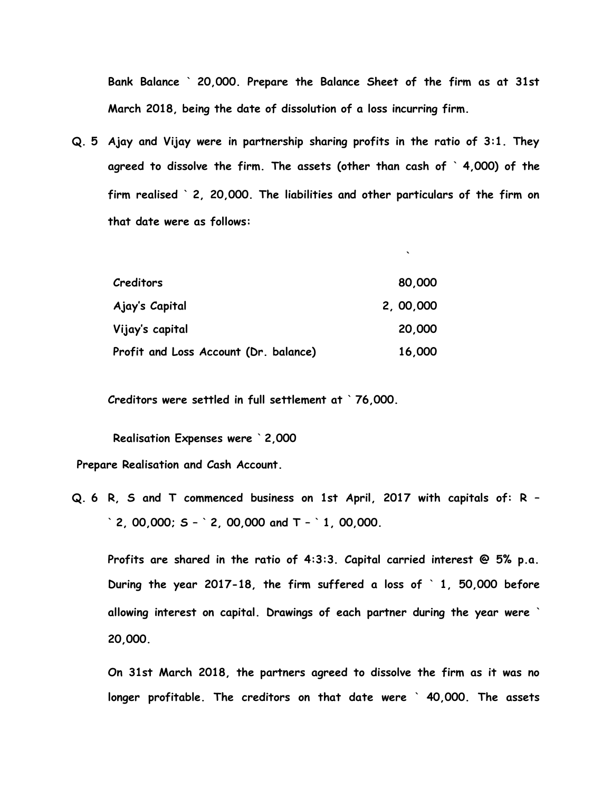**Bank Balance ` 20,000. Prepare the Balance Sheet of the firm as at 31st March 2018, being the date of dissolution of a loss incurring firm.**

**`**

**Q. 5 Ajay and Vijay were in partnership sharing profits in the ratio of 3:1. They agreed to dissolve the firm. The assets (other than cash of ` 4,000) of the firm realised ` 2, 20,000. The liabilities and other particulars of the firm on that date were as follows:**

| Creditors                             | 80,000    |
|---------------------------------------|-----------|
| Ajay's Capital                        | 2, 00,000 |
| Vijay's capital                       | 20,000    |
| Profit and Loss Account (Dr. balance) | 16,000    |

**Creditors were settled in full settlement at ` 76,000.**

**Realisation Expenses were ` 2,000**

**Prepare Realisation and Cash Account.**

**Q. 6 R, S and T commenced business on 1st April, 2017 with capitals of: R – ` 2, 00,000; S – ` 2, 00,000 and T – ` 1, 00,000.**

**Profits are shared in the ratio of 4:3:3. Capital carried interest @ 5% p.a. During the year 2017-18, the firm suffered a loss of ` 1, 50,000 before allowing interest on capital. Drawings of each partner during the year were ` 20,000.**

**On 31st March 2018, the partners agreed to dissolve the firm as it was no longer profitable. The creditors on that date were ` 40,000. The assets**